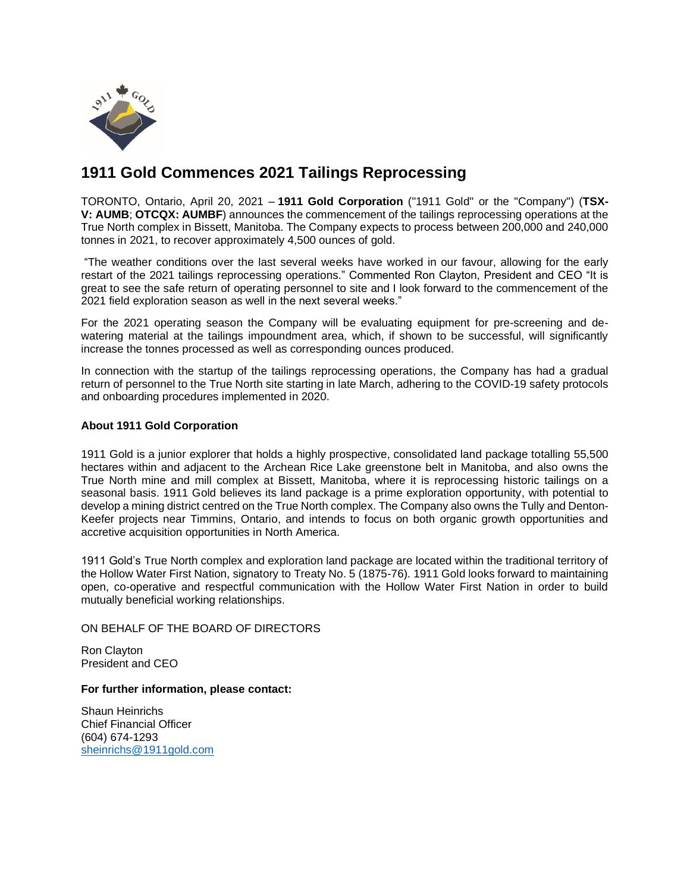

# **1911 Gold Commences 2021 Tailings Reprocessing**

TORONTO, Ontario, April 20, 2021 – **1911 Gold Corporation** ("1911 Gold" or the "Company") (**TSX-V: AUMB**; **OTCQX: AUMBF**) announces the commencement of the tailings reprocessing operations at the True North complex in Bissett, Manitoba. The Company expects to process between 200,000 and 240,000 tonnes in 2021, to recover approximately 4,500 ounces of gold.

"The weather conditions over the last several weeks have worked in our favour, allowing for the early restart of the 2021 tailings reprocessing operations." Commented Ron Clayton, President and CEO "It is great to see the safe return of operating personnel to site and I look forward to the commencement of the 2021 field exploration season as well in the next several weeks."

For the 2021 operating season the Company will be evaluating equipment for pre-screening and dewatering material at the tailings impoundment area, which, if shown to be successful, will significantly increase the tonnes processed as well as corresponding ounces produced.

In connection with the startup of the tailings reprocessing operations, the Company has had a gradual return of personnel to the True North site starting in late March, adhering to the COVID-19 safety protocols and onboarding procedures implemented in 2020.

## **About 1911 Gold Corporation**

1911 Gold is a junior explorer that holds a highly prospective, consolidated land package totalling 55,500 hectares within and adjacent to the Archean Rice Lake greenstone belt in Manitoba, and also owns the True North mine and mill complex at Bissett, Manitoba, where it is reprocessing historic tailings on a seasonal basis. 1911 Gold believes its land package is a prime exploration opportunity, with potential to develop a mining district centred on the True North complex. The Company also owns the Tully and Denton-Keefer projects near Timmins, Ontario, and intends to focus on both organic growth opportunities and accretive acquisition opportunities in North America.

1911 Gold's True North complex and exploration land package are located within the traditional territory of the Hollow Water First Nation, signatory to Treaty No. 5 (1875-76). 1911 Gold looks forward to maintaining open, co-operative and respectful communication with the Hollow Water First Nation in order to build mutually beneficial working relationships.

### ON BEHALF OF THE BOARD OF DIRECTORS

Ron Clayton President and CEO

#### **For further information, please contact:**

Shaun Heinrichs Chief Financial Officer (604) 674-1293 [sheinrichs@1911gold.com](mailto:sheinrichs@1911gold.com)